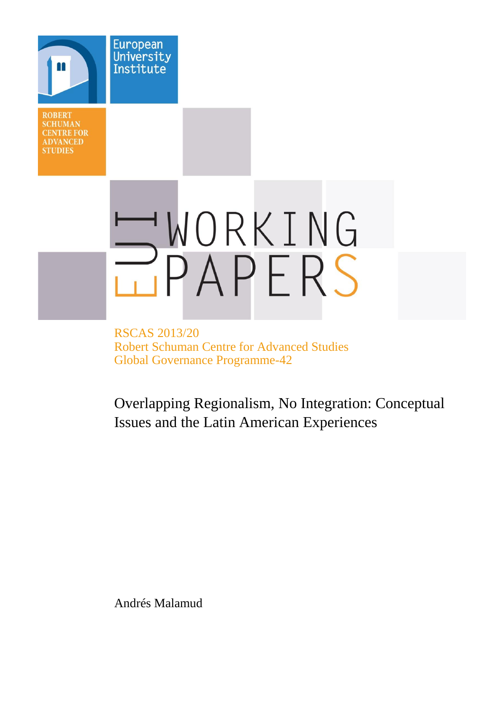**ROBERT SCHUMAN CENTRE FOR ADVANCED STUDIES** 

**European** University Institute

# WORKING

RSCAS 2013/20 Robert Schuman Centre for Advanced Studies Global Governance Programme-42

Overlapping Regionalism, No Integration: Conceptual Issues and the Latin American Experiences

Andrés Malamud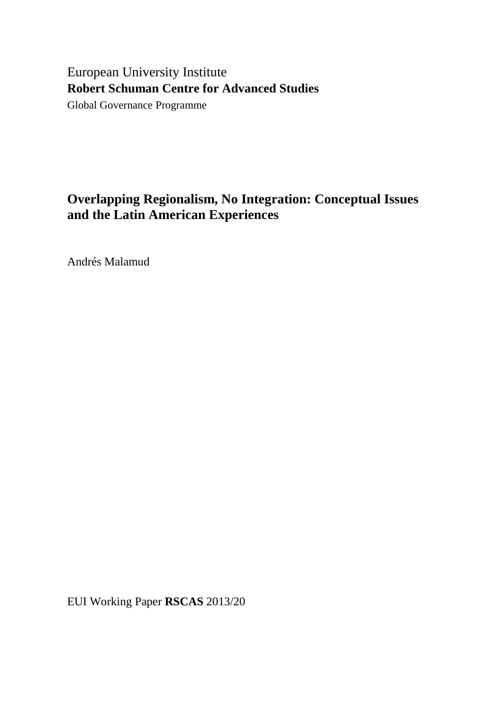# European University Institute **Robert Schuman Centre for Advanced Studies**

Global Governance Programme

# **Overlapping Regionalism, No Integration: Conceptual Issues and the Latin American Experiences**

Andrés Malamud

EUI Working Paper **RSCAS** 2013/20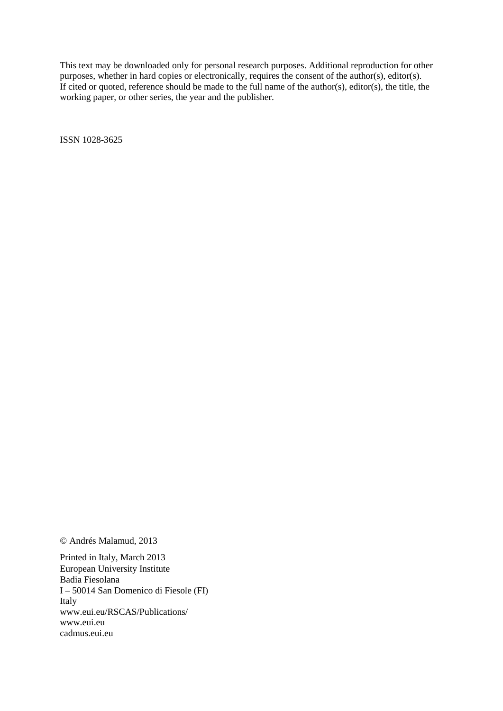This text may be downloaded only for personal research purposes. Additional reproduction for other purposes, whether in hard copies or electronically, requires the consent of the author(s), editor(s). If cited or quoted, reference should be made to the full name of the author(s), editor(s), the title, the working paper, or other series, the year and the publisher.

ISSN 1028-3625

© Andrés Malamud, 2013

Printed in Italy, March 2013 European University Institute Badia Fiesolana I – 50014 San Domenico di Fiesole (FI) Italy [www.eui.eu/RSCAS/Publications/](http://www.eui.eu/RSCAS/Publications/) [www.eui.eu](http://www.eui.eu/) [cadmus.eui.eu](http://cadmus.eui.eu/dspace/index.jsp)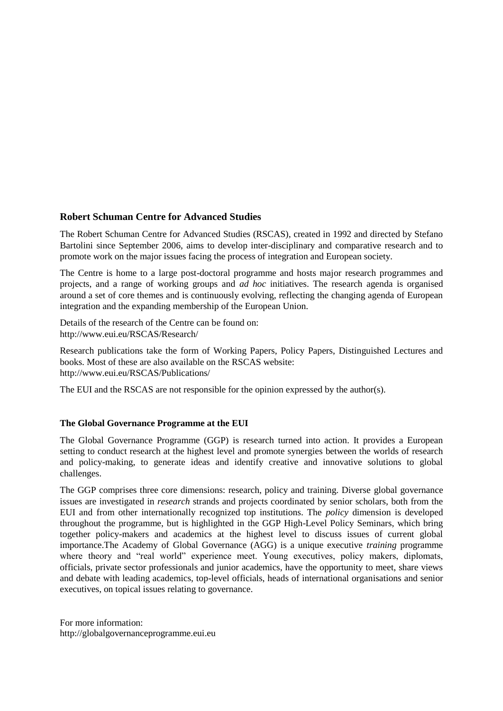# **Robert Schuman Centre for Advanced Studies**

The Robert Schuman Centre for Advanced Studies (RSCAS), created in 1992 and directed by Stefano Bartolini since September 2006, aims to develop inter-disciplinary and comparative research and to promote work on the major issues facing the process of integration and European society.

The Centre is home to a large post-doctoral programme and hosts major research programmes and projects, and a range of working groups and *ad hoc* initiatives. The research agenda is organised around a set of core themes and is continuously evolving, reflecting the changing agenda of European integration and the expanding membership of the European Union.

Details of the research of the Centre can be found on: <http://www.eui.eu/RSCAS/Research/>

Research publications take the form of Working Papers, Policy Papers, Distinguished Lectures and books. Most of these are also available on the RSCAS website: <http://www.eui.eu/RSCAS/Publications/>

The EUI and the RSCAS are not responsible for the opinion expressed by the author(s).

# **The Global Governance Programme at the EUI**

The Global Governance Programme (GGP) is research turned into action. It provides a European setting to conduct research at the highest level and promote synergies between the worlds of research and policy-making, to generate ideas and identify creative and innovative solutions to global challenges.

The GGP comprises three core dimensions: research, policy and training. Diverse global governance issues are investigated in *research* strands and projects coordinated by senior scholars, both from the EUI and from other internationally recognized top institutions. The *policy* dimension is developed throughout the programme, but is highlighted in the GGP High-Level Policy Seminars, which bring together policy-makers and academics at the highest level to discuss issues of current global importance.The Academy of Global Governance (AGG) is a unique executive *training* programme where theory and "real world" experience meet. Young executives, policy makers, diplomats, officials, private sector professionals and junior academics, have the opportunity to meet, share views and debate with leading academics, top-level officials, heads of international organisations and senior executives, on topical issues relating to governance.

For more information: [http://globalgovernanceprogramme.eui.eu](http://globalgovernanceprogramme.eui.eu/)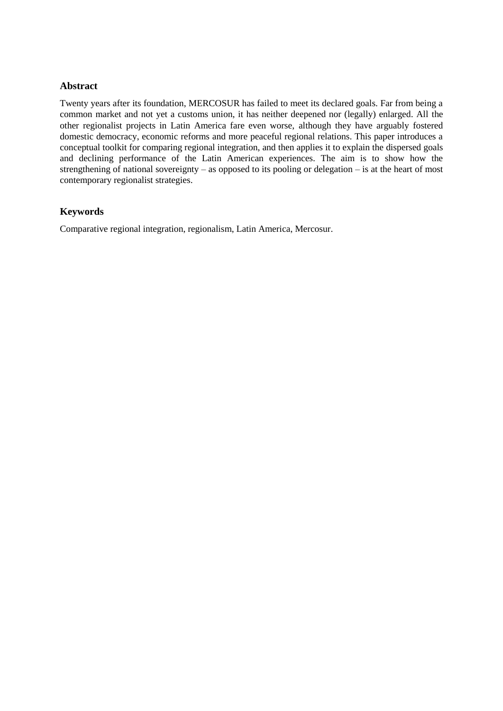# **Abstract**

Twenty years after its foundation, MERCOSUR has failed to meet its declared goals. Far from being a common market and not yet a customs union, it has neither deepened nor (legally) enlarged. All the other regionalist projects in Latin America fare even worse, although they have arguably fostered domestic democracy, economic reforms and more peaceful regional relations. This paper introduces a conceptual toolkit for comparing regional integration, and then applies it to explain the dispersed goals and declining performance of the Latin American experiences. The aim is to show how the strengthening of national sovereignty – as opposed to its pooling or delegation – is at the heart of most contemporary regionalist strategies.

# **Keywords**

Comparative regional integration, regionalism, Latin America, Mercosur.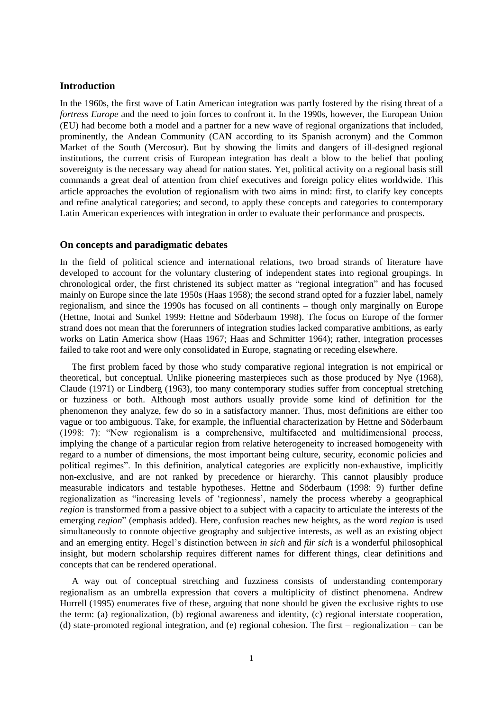## **Introduction**

In the 1960s, the first wave of Latin American integration was partly fostered by the rising threat of a *fortress Europe* and the need to join forces to confront it. In the 1990s, however, the European Union (EU) had become both a model and a partner for a new wave of regional organizations that included, prominently, the Andean Community (CAN according to its Spanish acronym) and the Common Market of the South (Mercosur). But by showing the limits and dangers of ill-designed regional institutions, the current crisis of European integration has dealt a blow to the belief that pooling sovereignty is the necessary way ahead for nation states. Yet, political activity on a regional basis still commands a great deal of attention from chief executives and foreign policy elites worldwide. This article approaches the evolution of regionalism with two aims in mind: first, to clarify key concepts and refine analytical categories; and second, to apply these concepts and categories to contemporary Latin American experiences with integration in order to evaluate their performance and prospects.

## **On concepts and paradigmatic debates**

In the field of political science and international relations, two broad strands of literature have developed to account for the voluntary clustering of independent states into regional groupings. In chronological order, the first christened its subject matter as "regional integration" and has focused mainly on Europe since the late 1950s (Haas 1958); the second strand opted for a fuzzier label, namely regionalism, and since the 1990s has focused on all continents – though only marginally on Europe (Hettne, Inotai and Sunkel 1999: Hettne and Söderbaum 1998). The focus on Europe of the former strand does not mean that the forerunners of integration studies lacked comparative ambitions, as early works on Latin America show (Haas 1967; Haas and Schmitter 1964); rather, integration processes failed to take root and were only consolidated in Europe, stagnating or receding elsewhere.

The first problem faced by those who study comparative regional integration is not empirical or theoretical, but conceptual. Unlike pioneering masterpieces such as those produced by Nye (1968), Claude (1971) or Lindberg (1963), too many contemporary studies suffer from conceptual stretching or fuzziness or both. Although most authors usually provide some kind of definition for the phenomenon they analyze, few do so in a satisfactory manner. Thus, most definitions are either too vague or too ambiguous. Take, for example, the influential characterization by Hettne and Söderbaum (1998: 7): "New regionalism is a comprehensive, multifaceted and multidimensional process, implying the change of a particular region from relative heterogeneity to increased homogeneity with regard to a number of dimensions, the most important being culture, security, economic policies and political regimes". In this definition, analytical categories are explicitly non-exhaustive, implicitly non-exclusive, and are not ranked by precedence or hierarchy. This cannot plausibly produce measurable indicators and testable hypotheses. Hettne and Söderbaum (1998: 9) further define regionalization as "increasing levels of 'regionness', namely the process whereby a geographical *region* is transformed from a passive object to a subject with a capacity to articulate the interests of the emerging *region*" (emphasis added). Here, confusion reaches new heights, as the word *region* is used simultaneously to connote objective geography and subjective interests, as well as an existing object and an emerging entity. Hegel's distinction between *in sich* and *für sich* is a wonderful philosophical insight, but modern scholarship requires different names for different things, clear definitions and concepts that can be rendered operational.

A way out of conceptual stretching and fuzziness consists of understanding contemporary regionalism as an umbrella expression that covers a multiplicity of distinct phenomena. Andrew Hurrell (1995) enumerates five of these, arguing that none should be given the exclusive rights to use the term: (a) regionalization, (b) regional awareness and identity, (c) regional interstate cooperation, (d) state-promoted regional integration, and (e) regional cohesion. The first – regionalization – can be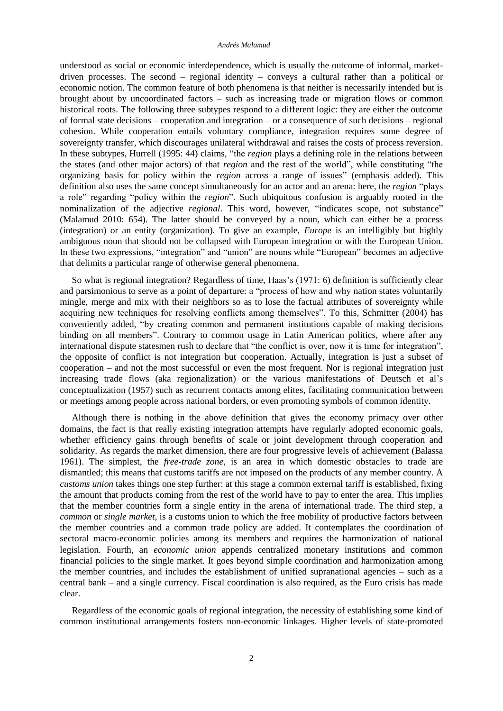understood as social or economic interdependence, which is usually the outcome of informal, marketdriven processes. The second – regional identity – conveys a cultural rather than a political or economic notion. The common feature of both phenomena is that neither is necessarily intended but is brought about by uncoordinated factors – such as increasing trade or migration flows or common historical roots. The following three subtypes respond to a different logic: they are either the outcome of formal state decisions – cooperation and integration – or a consequence of such decisions – regional cohesion. While cooperation entails voluntary compliance, integration requires some degree of sovereignty transfer, which discourages unilateral withdrawal and raises the costs of process reversion. In these subtypes, Hurrell (1995: 44) claims, "the *region* plays a defining role in the relations between the states (and other major actors) of that *region* and the rest of the world", while constituting "the organizing basis for policy within the *region* across a range of issues" (emphasis added). This definition also uses the same concept simultaneously for an actor and an arena: here, the *region* "plays a role" regarding "policy within the *region*". Such ubiquitous confusion is arguably rooted in the nominalization of the adjective *regional*. This word, however, "indicates scope, not substance" (Malamud 2010: 654). The latter should be conveyed by a noun, which can either be a process (integration) or an entity (organization). To give an example, *Europe* is an intelligibly but highly ambiguous noun that should not be collapsed with European integration or with the European Union. In these two expressions, "integration" and "union" are nouns while "European" becomes an adjective that delimits a particular range of otherwise general phenomena.

So what is regional integration? Regardless of time, Haas's (1971: 6) definition is sufficiently clear and parsimonious to serve as a point of departure: a "process of how and why nation states voluntarily mingle, merge and mix with their neighbors so as to lose the factual attributes of sovereignty while acquiring new techniques for resolving conflicts among themselves". To this, Schmitter (2004) has conveniently added, "by creating common and permanent institutions capable of making decisions binding on all members". Contrary to common usage in Latin American politics, where after any international dispute statesmen rush to declare that "the conflict is over, now it is time for integration", the opposite of conflict is not integration but cooperation. Actually, integration is just a subset of cooperation – and not the most successful or even the most frequent. Nor is regional integration just increasing trade flows (aka regionalization) or the various manifestations of Deutsch et al's conceptualization (1957) such as recurrent contacts among elites, facilitating communication between or meetings among people across national borders, or even promoting symbols of common identity.

Although there is nothing in the above definition that gives the economy primacy over other domains, the fact is that really existing integration attempts have regularly adopted economic goals, whether efficiency gains through benefits of scale or joint development through cooperation and solidarity. As regards the market dimension, there are four progressive levels of achievement (Balassa 1961). The simplest, the *free-trade zone*, is an area in which domestic obstacles to trade are dismantled; this means that customs tariffs are not imposed on the products of any member country. A *customs union* takes things one step further: at this stage a common external tariff is established, fixing the amount that products coming from the rest of the world have to pay to enter the area. This implies that the member countries form a single entity in the arena of international trade. The third step, a *common* or *single market*, is a customs union to which the free mobility of productive factors between the member countries and a common trade policy are added. It contemplates the coordination of sectoral macro-economic policies among its members and requires the harmonization of national legislation. Fourth, an *economic union* appends centralized monetary institutions and common financial policies to the single market. It goes beyond simple coordination and harmonization among the member countries, and includes the establishment of unified supranational agencies – such as a central bank – and a single currency. Fiscal coordination is also required, as the Euro crisis has made clear.

Regardless of the economic goals of regional integration, the necessity of establishing some kind of common institutional arrangements fosters non-economic linkages. Higher levels of state-promoted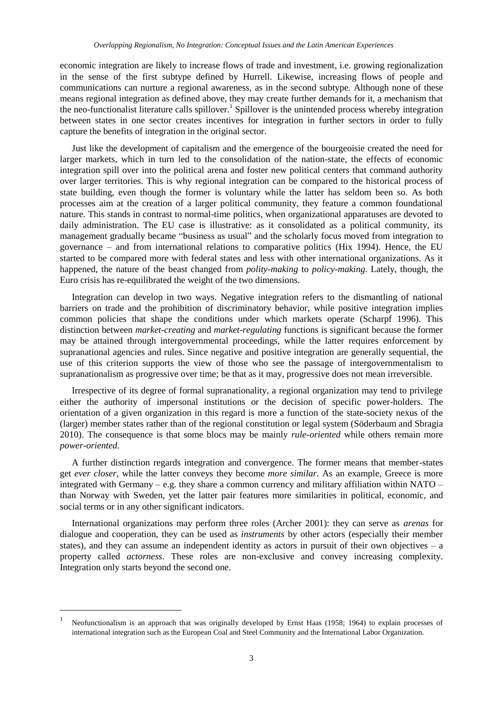economic integration are likely to increase flows of trade and investment, i.e. growing regionalization in the sense of the first subtype defined by Hurrell. Likewise, increasing flows of people and communications can nurture a regional awareness, as in the second subtype. Although none of these means regional integration as defined above, they may create further demands for it, a mechanism that the neo-functionalist literature calls spillover.<sup>1</sup> Spillover is the unintended process whereby integration between states in one sector creates incentives for integration in further sectors in order to fully capture the benefits of integration in the original sector.

Just like the development of capitalism and the emergence of the bourgeoisie created the need for larger markets, which in turn led to the consolidation of the nation-state, the effects of economic integration spill over into the political arena and foster new political centers that command authority over larger territories. This is why regional integration can be compared to the historical process of state building, even though the former is voluntary while the latter has seldom been so. As both processes aim at the creation of a larger political community, they feature a common foundational nature. This stands in contrast to normal-time politics, when organizational apparatuses are devoted to daily administration. The EU case is illustrative: as it consolidated as a political community, its management gradually became "business as usual" and the scholarly focus moved from integration to governance – and from international relations to comparative politics (Hix 1994). Hence, the EU started to be compared more with federal states and less with other international organizations. As it happened, the nature of the beast changed from *polity-making* to *policy-making*. Lately, though, the Euro crisis has re-equilibrated the weight of the two dimensions.

Integration can develop in two ways. Negative integration refers to the dismantling of national barriers on trade and the prohibition of discriminatory behavior, while positive integration implies common policies that shape the conditions under which markets operate (Scharpf 1996). This distinction between *market-creating* and *market-regulating* functions is significant because the former may be attained through intergovernmental proceedings, while the latter requires enforcement by supranational agencies and rules. Since negative and positive integration are generally sequential, the use of this criterion supports the view of those who see the passage of intergovernmentalism to supranationalism as progressive over time; be that as it may, progressive does not mean irreversible.

Irrespective of its degree of formal supranationality, a regional organization may tend to privilege either the authority of impersonal institutions or the decision of specific power-holders. The orientation of a given organization in this regard is more a function of the state-society nexus of the (larger) member states rather than of the regional constitution or legal system (Söderbaum and Sbragia 2010). The consequence is that some blocs may be mainly *rule-oriented* while others remain more *power-oriented*.

A further distinction regards integration and convergence. The former means that member-states get *ever closer*, while the latter conveys they become *more similar*. As an example, Greece is more integrated with Germany – e.g. they share a common currency and military affiliation within NATO – than Norway with Sweden, yet the latter pair features more similarities in political, economic, and social terms or in any other significant indicators.

International organizations may perform three roles (Archer 2001): they can serve as *arenas* for dialogue and cooperation, they can be used as *instruments* by other actors (especially their member states), and they can assume an independent identity as actors in pursuit of their own objectives – a property called *actorness*. These roles are non-exclusive and convey increasing complexity. Integration only starts beyond the second one.

 $\overline{a}$ 

<sup>1</sup> Neofunctionalism is an approach that was originally developed by Ernst Haas (1958; 1964) to explain processes of international integration such as the European Coal and Steel Community and the International Labor Organization.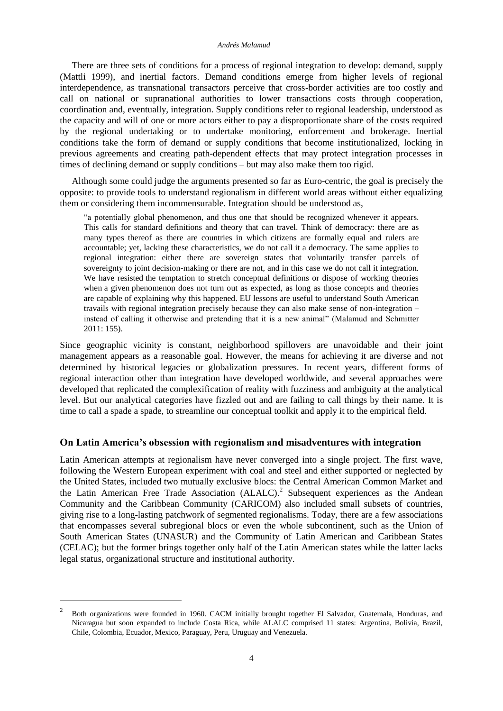There are three sets of conditions for a process of regional integration to develop: demand, supply (Mattli 1999), and inertial factors. Demand conditions emerge from higher levels of regional interdependence, as transnational transactors perceive that cross-border activities are too costly and call on national or supranational authorities to lower transactions costs through cooperation, coordination and, eventually, integration. Supply conditions refer to regional leadership, understood as the capacity and will of one or more actors either to pay a disproportionate share of the costs required by the regional undertaking or to undertake monitoring, enforcement and brokerage. Inertial conditions take the form of demand or supply conditions that become institutionalized, locking in previous agreements and creating path-dependent effects that may protect integration processes in times of declining demand or supply conditions – but may also make them too rigid.

Although some could judge the arguments presented so far as Euro-centric, the goal is precisely the opposite: to provide tools to understand regionalism in different world areas without either equalizing them or considering them incommensurable. Integration should be understood as,

"a potentially global phenomenon, and thus one that should be recognized whenever it appears. This calls for standard definitions and theory that can travel. Think of democracy: there are as many types thereof as there are countries in which citizens are formally equal and rulers are accountable; yet, lacking these characteristics, we do not call it a democracy. The same applies to regional integration: either there are sovereign states that voluntarily transfer parcels of sovereignty to joint decision-making or there are not, and in this case we do not call it integration. We have resisted the temptation to stretch conceptual definitions or dispose of working theories when a given phenomenon does not turn out as expected, as long as those concepts and theories are capable of explaining why this happened. EU lessons are useful to understand South American travails with regional integration precisely because they can also make sense of non-integration – instead of calling it otherwise and pretending that it is a new animal" (Malamud and Schmitter 2011: 155).

Since geographic vicinity is constant, neighborhood spillovers are unavoidable and their joint management appears as a reasonable goal. However, the means for achieving it are diverse and not determined by historical legacies or globalization pressures. In recent years, different forms of regional interaction other than integration have developed worldwide, and several approaches were developed that replicated the complexification of reality with fuzziness and ambiguity at the analytical level. But our analytical categories have fizzled out and are failing to call things by their name. It is time to call a spade a spade, to streamline our conceptual toolkit and apply it to the empirical field.

#### **On Latin America's obsession with regionalism and misadventures with integration**

Latin American attempts at regionalism have never converged into a single project. The first wave, following the Western European experiment with coal and steel and either supported or neglected by the United States, included two mutually exclusive blocs: the Central American Common Market and the Latin American Free Trade Association  $(ALALC)<sup>2</sup>$  Subsequent experiences as the Andean Community and the Caribbean Community (CARICOM) also included small subsets of countries, giving rise to a long-lasting patchwork of segmented regionalisms. Today, there are a few associations that encompasses several subregional blocs or even the whole subcontinent, such as the Union of South American States (UNASUR) and the Community of Latin American and Caribbean States (CELAC); but the former brings together only half of the Latin American states while the latter lacks legal status, organizational structure and institutional authority.

l

<sup>2</sup> Both organizations were founded in 1960. CACM initially brought together El Salvador, Guatemala, Honduras, and Nicaragua but soon expanded to include Costa Rica, while ALALC comprised 11 states: Argentina, Bolivia, Brazil, Chile, Colombia, Ecuador, Mexico, Paraguay, Peru, Uruguay and Venezuela.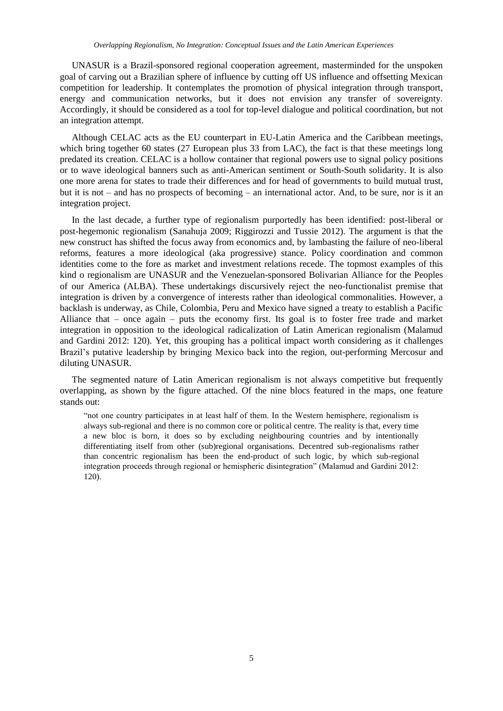UNASUR is a Brazil-sponsored regional cooperation agreement, masterminded for the unspoken goal of carving out a Brazilian sphere of influence by cutting off US influence and offsetting Mexican competition for leadership. It contemplates the promotion of physical integration through transport, energy and communication networks, but it does not envision any transfer of sovereignty. Accordingly, it should be considered as a tool for top-level dialogue and political coordination, but not an integration attempt.

Although CELAC acts as the EU counterpart in EU-Latin America and the Caribbean meetings, which bring together 60 states (27 European plus 33 from LAC), the fact is that these meetings long predated its creation. CELAC is a hollow container that regional powers use to signal policy positions or to wave ideological banners such as anti-American sentiment or South-South solidarity. It is also one more arena for states to trade their differences and for head of governments to build mutual trust, but it is not – and has no prospects of becoming – an international actor. And, to be sure, nor is it an integration project.

In the last decade, a further type of regionalism purportedly has been identified: post-liberal or post-hegemonic regionalism (Sanahuja 2009; Riggirozzi and Tussie 2012). The argument is that the new construct has shifted the focus away from economics and, by lambasting the failure of neo-liberal reforms, features a more ideological (aka progressive) stance. Policy coordination and common identities come to the fore as market and investment relations recede. The topmost examples of this kind o regionalism are UNASUR and the Venezuelan-sponsored Bolivarian Alliance for the Peoples of our America (ALBA). These undertakings discursively reject the neo-functionalist premise that integration is driven by a convergence of interests rather than ideological commonalities. However, a backlash is underway, as Chile, Colombia, Peru and Mexico have signed a treaty to establish a Pacific Alliance that – once again – puts the economy first. Its goal is to foster free trade and market integration in opposition to the ideological radicalization of Latin American regionalism (Malamud and Gardini 2012: 120). Yet, this grouping has a political impact worth considering as it challenges Brazil's putative leadership by bringing Mexico back into the region, out-performing Mercosur and diluting UNASUR.

The segmented nature of Latin American regionalism is not always competitive but frequently overlapping, as shown by the figure attached. Of the nine blocs featured in the maps, one feature stands out:

"not one country participates in at least half of them. In the Western hemisphere, regionalism is always sub-regional and there is no common core or political centre. The reality is that, every time a new bloc is born, it does so by excluding neighbouring countries and by intentionally differentiating itself from other (sub)regional organisations. Decentred sub-regionalisms rather than concentric regionalism has been the end-product of such logic, by which sub-regional integration proceeds through regional or hemispheric disintegration" (Malamud and Gardini 2012: 120).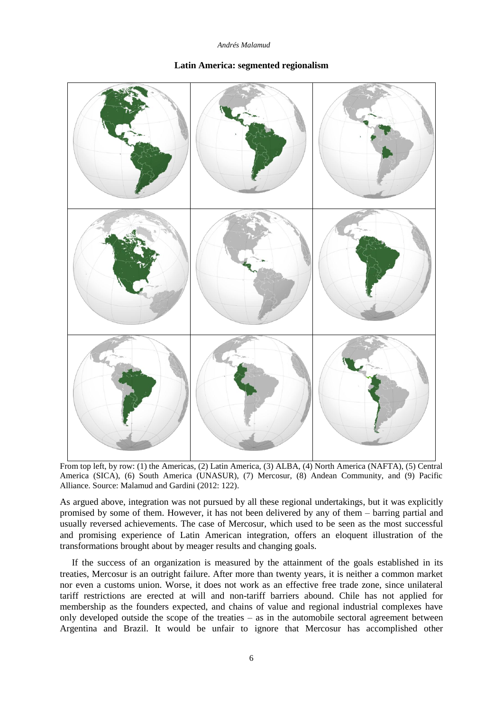#### *Andrés Malamud*

# **Latin America: segmented regionalism**



From top left, by row: (1) the Americas, (2) Latin America, (3) ALBA, (4) North America (NAFTA), (5) Central America (SICA), (6) South America (UNASUR), (7) Mercosur, (8) Andean Community, and (9) Pacific Alliance. Source: Malamud and Gardini (2012: 122).

As argued above, integration was not pursued by all these regional undertakings, but it was explicitly promised by some of them. However, it has not been delivered by any of them – barring partial and usually reversed achievements. The case of Mercosur, which used to be seen as the most successful and promising experience of Latin American integration, offers an eloquent illustration of the transformations brought about by meager results and changing goals.

If the success of an organization is measured by the attainment of the goals established in its treaties, Mercosur is an outright failure. After more than twenty years, it is neither a common market nor even a customs union. Worse, it does not work as an effective free trade zone, since unilateral tariff restrictions are erected at will and non-tariff barriers abound. Chile has not applied for membership as the founders expected, and chains of value and regional industrial complexes have only developed outside the scope of the treaties – as in the automobile sectoral agreement between Argentina and Brazil. It would be unfair to ignore that Mercosur has accomplished other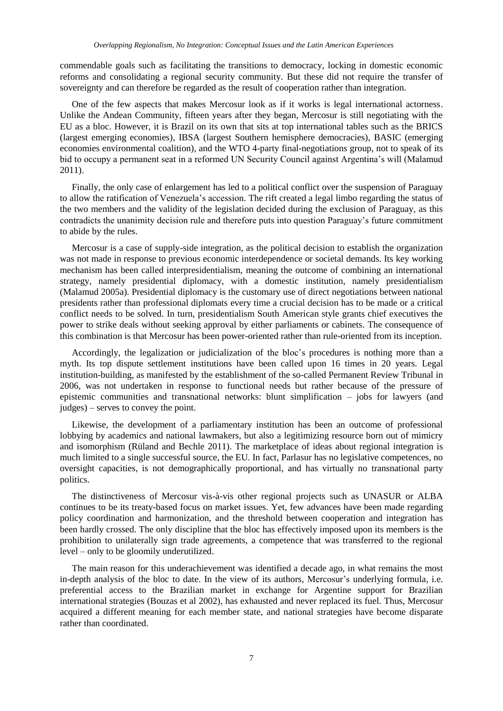commendable goals such as facilitating the transitions to democracy, locking in domestic economic reforms and consolidating a regional security community. But these did not require the transfer of sovereignty and can therefore be regarded as the result of cooperation rather than integration.

One of the few aspects that makes Mercosur look as if it works is legal international actorness. Unlike the Andean Community, fifteen years after they began, Mercosur is still negotiating with the EU as a bloc. However, it is Brazil on its own that sits at top international tables such as the BRICS (largest emerging economies), IBSA (largest Southern hemisphere democracies), BASIC (emerging economies environmental coalition), and the WTO 4-party final-negotiations group, not to speak of its bid to occupy a permanent seat in a reformed UN Security Council against Argentina's will (Malamud 2011).

Finally, the only case of enlargement has led to a political conflict over the suspension of Paraguay to allow the ratification of Venezuela's accession. The rift created a legal limbo regarding the status of the two members and the validity of the legislation decided during the exclusion of Paraguay, as this contradicts the unanimity decision rule and therefore puts into question Paraguay's future commitment to abide by the rules.

Mercosur is a case of supply-side integration, as the political decision to establish the organization was not made in response to previous economic interdependence or societal demands. Its key working mechanism has been called interpresidentialism, meaning the outcome of combining an international strategy, namely presidential diplomacy, with a domestic institution, namely presidentialism (Malamud 2005a). Presidential diplomacy is the customary use of direct negotiations between national presidents rather than professional diplomats every time a crucial decision has to be made or a critical conflict needs to be solved. In turn, presidentialism South American style grants chief executives the power to strike deals without seeking approval by either parliaments or cabinets. The consequence of this combination is that Mercosur has been power-oriented rather than rule-oriented from its inception.

Accordingly, the legalization or judicialization of the bloc's procedures is nothing more than a myth. Its top dispute settlement institutions have been called upon 16 times in 20 years. Legal institution-building, as manifested by the establishment of the so-called Permanent Review Tribunal in 2006, was not undertaken in response to functional needs but rather because of the pressure of epistemic communities and transnational networks: blunt simplification – jobs for lawyers (and judges) – serves to convey the point.

Likewise, the development of a parliamentary institution has been an outcome of professional lobbying by academics and national lawmakers, but also a legitimizing resource born out of mimicry and isomorphism (Rüland and Bechle 2011). The marketplace of ideas about regional integration is much limited to a single successful source, the EU. In fact, Parlasur has no legislative competences, no oversight capacities, is not demographically proportional, and has virtually no transnational party politics.

The distinctiveness of Mercosur vis-à-vis other regional projects such as UNASUR or ALBA continues to be its treaty-based focus on market issues. Yet, few advances have been made regarding policy coordination and harmonization, and the threshold between cooperation and integration has been hardly crossed. The only discipline that the bloc has effectively imposed upon its members is the prohibition to unilaterally sign trade agreements, a competence that was transferred to the regional level – only to be gloomily underutilized.

The main reason for this underachievement was identified a decade ago, in what remains the most in-depth analysis of the bloc to date. In the view of its authors, Mercosur's underlying formula, i.e. preferential access to the Brazilian market in exchange for Argentine support for Brazilian international strategies (Bouzas et al 2002), has exhausted and never replaced its fuel. Thus, Mercosur acquired a different meaning for each member state, and national strategies have become disparate rather than coordinated.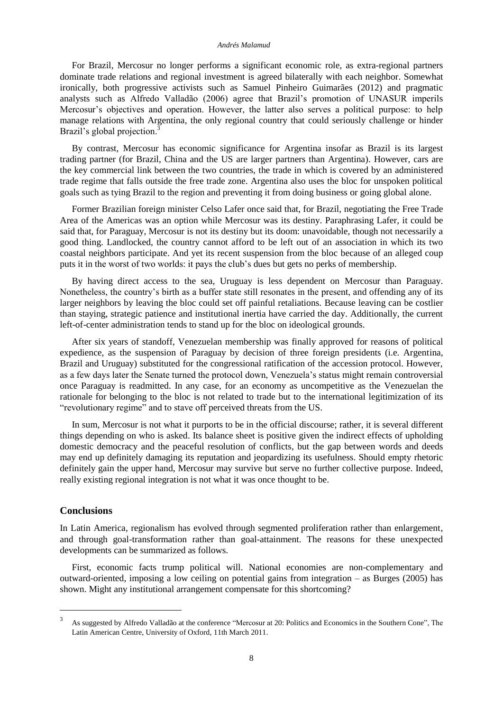#### *Andrés Malamud*

For Brazil, Mercosur no longer performs a significant economic role, as extra-regional partners dominate trade relations and regional investment is agreed bilaterally with each neighbor. Somewhat ironically, both progressive activists such as Samuel Pinheiro Guimarães (2012) and pragmatic analysts such as Alfredo Valladão (2006) agree that Brazil's promotion of UNASUR imperils Mercosur's objectives and operation. However, the latter also serves a political purpose: to help manage relations with Argentina, the only regional country that could seriously challenge or hinder Brazil's global projection.<sup>3</sup>

By contrast, Mercosur has economic significance for Argentina insofar as Brazil is its largest trading partner (for Brazil, China and the US are larger partners than Argentina). However, cars are the key commercial link between the two countries, the trade in which is covered by an administered trade regime that falls outside the free trade zone. Argentina also uses the bloc for unspoken political goals such as tying Brazil to the region and preventing it from doing business or going global alone.

Former Brazilian foreign minister Celso Lafer once said that, for Brazil, negotiating the Free Trade Area of the Americas was an option while Mercosur was its destiny. Paraphrasing Lafer, it could be said that, for Paraguay, Mercosur is not its destiny but its doom: unavoidable, though not necessarily a good thing. Landlocked, the country cannot afford to be left out of an association in which its two coastal neighbors participate. And yet its recent suspension from the bloc because of an alleged coup puts it in the worst of two worlds: it pays the club's dues but gets no perks of membership.

By having direct access to the sea, Uruguay is less dependent on Mercosur than Paraguay. Nonetheless, the country's birth as a buffer state still resonates in the present, and offending any of its larger neighbors by leaving the bloc could set off painful retaliations. Because leaving can be costlier than staying, strategic patience and institutional inertia have carried the day. Additionally, the current left-of-center administration tends to stand up for the bloc on ideological grounds.

After six years of standoff, Venezuelan membership was finally approved for reasons of political expedience, as the suspension of Paraguay by decision of three foreign presidents (i.e. Argentina, Brazil and Uruguay) substituted for the congressional ratification of the accession protocol. However, as a few days later the Senate turned the protocol down, Venezuela's status might remain controversial once Paraguay is readmitted. In any case, for an economy as uncompetitive as the Venezuelan the rationale for belonging to the bloc is not related to trade but to the international legitimization of its "revolutionary regime" and to stave off perceived threats from the US.

In sum, Mercosur is not what it purports to be in the official discourse; rather, it is several different things depending on who is asked. Its balance sheet is positive given the indirect effects of upholding domestic democracy and the peaceful resolution of conflicts, but the gap between words and deeds may end up definitely damaging its reputation and jeopardizing its usefulness. Should empty rhetoric definitely gain the upper hand, Mercosur may survive but serve no further collective purpose. Indeed, really existing regional integration is not what it was once thought to be.

#### **Conclusions**

 $\overline{a}$ 

In Latin America, regionalism has evolved through segmented proliferation rather than enlargement, and through goal-transformation rather than goal-attainment. The reasons for these unexpected developments can be summarized as follows.

First, economic facts trump political will. National economies are non-complementary and outward-oriented, imposing a low ceiling on potential gains from integration – as Burges (2005) has shown. Might any institutional arrangement compensate for this shortcoming?

<sup>3</sup> As suggested by Alfredo Valladão at the conference "Mercosur at 20: Politics and Economics in the Southern Cone", The Latin American Centre, University of Oxford, 11th March 2011.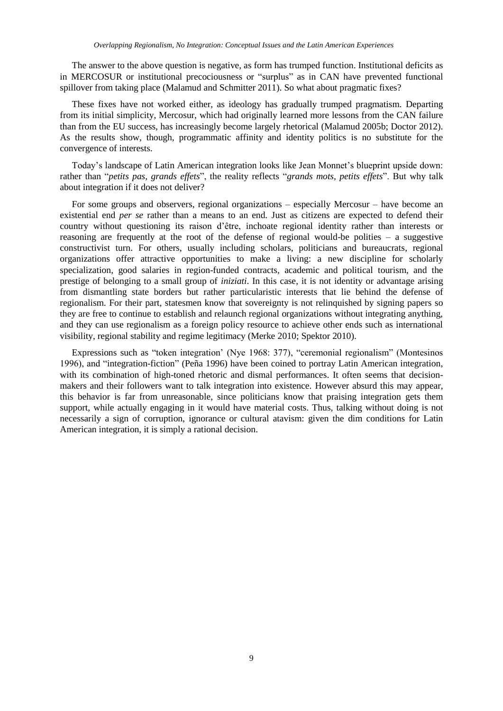The answer to the above question is negative, as form has trumped function. Institutional deficits as in MERCOSUR or institutional precociousness or "surplus" as in CAN have prevented functional spillover from taking place (Malamud and Schmitter 2011). So what about pragmatic fixes?

These fixes have not worked either, as ideology has gradually trumped pragmatism. Departing from its initial simplicity, Mercosur, which had originally learned more lessons from the CAN failure than from the EU success, has increasingly become largely rhetorical (Malamud 2005b; Doctor 2012). As the results show, though, programmatic affinity and identity politics is no substitute for the convergence of interests.

Today's landscape of Latin American integration looks like Jean Monnet's blueprint upside down: rather than "*petits pas, grands effets*", the reality reflects "*grands mots, petits effets*". But why talk about integration if it does not deliver?

For some groups and observers, regional organizations – especially Mercosur – have become an existential end *per se* rather than a means to an end. Just as citizens are expected to defend their country without questioning its raison d'être, inchoate regional identity rather than interests or reasoning are frequently at the root of the defense of regional would-be polities – a suggestive constructivist turn. For others, usually including scholars, politicians and bureaucrats, regional organizations offer attractive opportunities to make a living: a new discipline for scholarly specialization, good salaries in region-funded contracts, academic and political tourism, and the prestige of belonging to a small group of *iniziati*. In this case, it is not identity or advantage arising from dismantling state borders but rather particularistic interests that lie behind the defense of regionalism. For their part, statesmen know that sovereignty is not relinquished by signing papers so they are free to continue to establish and relaunch regional organizations without integrating anything, and they can use regionalism as a foreign policy resource to achieve other ends such as international visibility, regional stability and regime legitimacy (Merke 2010; Spektor 2010).

Expressions such as "token integration' (Nye 1968: 377), "ceremonial regionalism" (Montesinos 1996), and "integration-fiction" (Peña 1996) have been coined to portray Latin American integration, with its combination of high-toned rhetoric and dismal performances. It often seems that decisionmakers and their followers want to talk integration into existence. However absurd this may appear, this behavior is far from unreasonable, since politicians know that praising integration gets them support, while actually engaging in it would have material costs. Thus, talking without doing is not necessarily a sign of corruption, ignorance or cultural atavism: given the dim conditions for Latin American integration, it is simply a rational decision.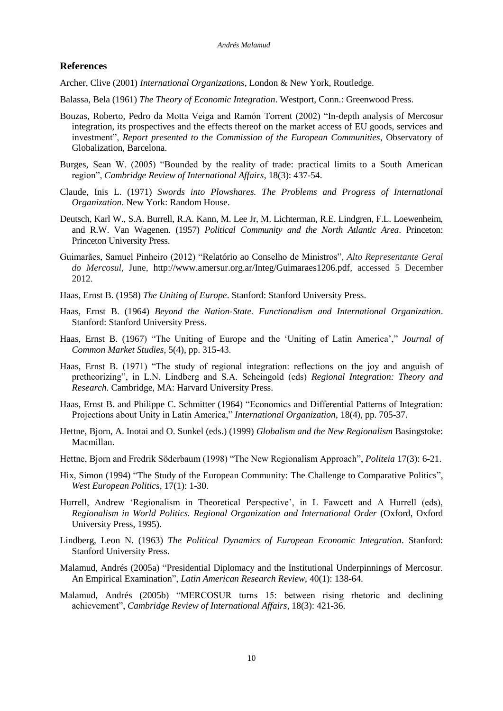#### **References**

Archer, Clive (2001) *International Organizations*, London & New York, Routledge.

Balassa, Bela (1961) *The Theory of Economic Integration*. Westport, Conn.: Greenwood Press.

- Bouzas, Roberto, Pedro da Motta Veiga and Ramón Torrent (2002) "In-depth analysis of Mercosur integration, its prospectives and the effects thereof on the market access of EU goods, services and investment", *Report presented to the Commission of the European Communities*, Observatory of Globalization, Barcelona.
- Burges, Sean W. (2005) "Bounded by the reality of trade: practical limits to a South American region", *Cambridge Review of International Affairs*, 18(3): 437-54.
- Claude, Inis L. (1971) *Swords into Plowshares. The Problems and Progress of International Organization*. New York: Random House.
- Deutsch, Karl W., S.A. Burrell, R.A. Kann, M. Lee Jr, M. Lichterman, R.E. Lindgren, F.L. Loewenheim, and R.W. Van Wagenen. (1957) *Political Community and the North Atlantic Area*. Princeton: Princeton University Press.
- Guimarães, Samuel Pinheiro (2012) "Relatório ao Conselho de Ministros", *Alto Representante Geral do Mercosul*, June, [http://www.amersur.org.ar/Integ/Guimaraes1206.pdf,](http://www.amersur.org.ar/Integ/Guimaraes1206.pdf) accessed 5 December 2012.
- Haas, Ernst B. (1958) *The Uniting of Europe*. Stanford: Stanford University Press.
- Haas, Ernst B. (1964) *Beyond the Nation-State. Functionalism and International Organization*. Stanford: Stanford University Press.
- Haas, Ernst B. (1967) "The Uniting of Europe and the 'Uniting of Latin America'," *Journal of Common Market Studies*, 5(4), pp. 315-43.
- Haas, Ernst B. (1971) "The study of regional integration: reflections on the joy and anguish of pretheorizing", in L.N. Lindberg and S.A. Scheingold (eds) *Regional Integration: Theory and Research*. Cambridge, MA: Harvard University Press.
- Haas, Ernst B. and Philippe C. Schmitter (1964) "Economics and Differential Patterns of Integration: Projections about Unity in Latin America," *International Organization*, 18(4), pp. 705-37.
- Hettne, Bjorn, A. Inotai and O. Sunkel (eds.) (1999) *Globalism and the New Regionalism* Basingstoke: Macmillan.
- Hettne, Bjorn and Fredrik Söderbaum (1998) "The New Regionalism Approach", *Politeia* 17(3): 6-21.
- Hix, Simon (1994) "The Study of the European Community: The Challenge to Comparative Politics", *West European Politics*, 17(1): 1-30.
- Hurrell, Andrew 'Regionalism in Theoretical Perspective', in L Fawcett and A Hurrell (eds), *Regionalism in World Politics. Regional Organization and International Order* (Oxford, Oxford University Press, 1995).
- Lindberg, Leon N. (1963) *The Political Dynamics of European Economic Integration*. Stanford: Stanford University Press.
- Malamud, Andrés (2005a) "Presidential Diplomacy and the Institutional Underpinnings of Mercosur. An Empirical Examination", *Latin American Research Review*, 40(1): 138-64.
- Malamud, Andrés (2005b) "MERCOSUR turns 15: between rising rhetoric and declining achievement", *Cambridge Review of International Affairs*, 18(3): 421-36.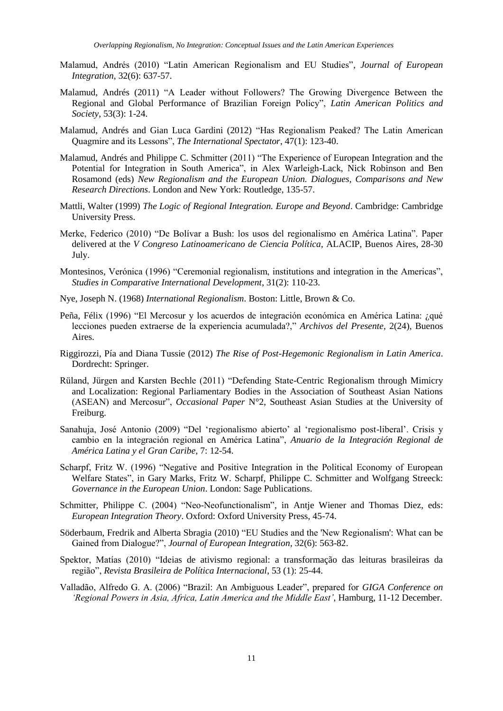- Malamud, Andrés (2010) "Latin American Regionalism and EU Studies", *Journal of European Integration*, 32(6): 637-57.
- Malamud, Andrés (2011) "A Leader without Followers? The Growing Divergence Between the Regional and Global Performance of Brazilian Foreign Policy", *Latin American Politics and Society*, 53(3): 1-24.
- Malamud, Andrés and Gian Luca Gardini (2012) "Has Regionalism Peaked? The Latin American Quagmire and its Lessons", *The International Spectator*, 47(1): 123-40.
- Malamud, Andrés and Philippe C. Schmitter (2011) "The Experience of European Integration and the Potential for Integration in South America", in Alex Warleigh-Lack, Nick Robinson and Ben Rosamond (eds) *New Regionalism and the European Union. Dialogues, Comparisons and New Research Directions*. London and New York: Routledge, 135-57.
- Mattli, Walter (1999) *The Logic of Regional Integration. Europe and Beyond*. Cambridge: Cambridge University Press.
- Merke, Federico (2010) "De Bolívar a Bush: los usos del regionalismo en América Latina". Paper delivered at the *V Congreso Latinoamericano de Ciencia Política*, ALACIP, Buenos Aires, 28-30 July.
- Montesinos, Verónica (1996) "Ceremonial regionalism, institutions and integration in the Americas", *Studies in Comparative International Development*, 31(2): 110-23.
- Nye, Joseph N. (1968) *International Regionalism*. Boston: Little, Brown & Co.
- Peña, Félix (1996) "El Mercosur y los acuerdos de integración económica en América Latina: ¿qué lecciones pueden extraerse de la experiencia acumulada?," *Archivos del Presente*, 2(24), Buenos Aires.
- Riggirozzi, Pía and Diana Tussie (2012) *The Rise of Post-Hegemonic Regionalism in Latin America*. Dordrecht: Springer.
- Rüland, Jürgen and Karsten Bechle (2011) "Defending State-Centric Regionalism through Mimicry and Localization: Regional Parliamentary Bodies in the Association of Southeast Asian Nations (ASEAN) and Mercosur", *Occasional Paper* N°2, Southeast Asian Studies at the University of Freiburg.
- Sanahuja, José Antonio (2009) "Del 'regionalismo abierto' al 'regionalismo post-liberal'. Crisis y cambio en la integración regional en América Latina", *Anuario de la Integración Regional de América Latina y el Gran Caribe*, 7: 12-54.
- Scharpf, Fritz W. (1996) "Negative and Positive Integration in the Political Economy of European Welfare States", in Gary Marks, Fritz W. Scharpf, Philippe C. Schmitter and Wolfgang Streeck: *Governance in the European Union*. London: Sage Publications.
- Schmitter, Philippe C. (2004) "Neo-Neofunctionalism", in Antje Wiener and Thomas Diez, eds: *European Integration Theory*. Oxford: Oxford University Press, 45-74.
- Söderbaum, Fredrik and Alberta Sbragia (2010) "EU Studies and the 'New Regionalism': What can be Gained from Dialogue?", *Journal of European Integration*, 32(6): 563-82.
- Spektor, Matías (2010) "Ideias de ativismo regional: a transformação das leituras brasileiras da região", *Revista Brasileira de Política Internacional*, 53 (1): 25-44.
- Valladão, Alfredo G. A. (2006) "Brazil: An Ambiguous Leader", prepared for *GIGA Conference on 'Regional Powers in Asia, Africa, Latin America and the Middle East'*, Hamburg, 11-12 December.